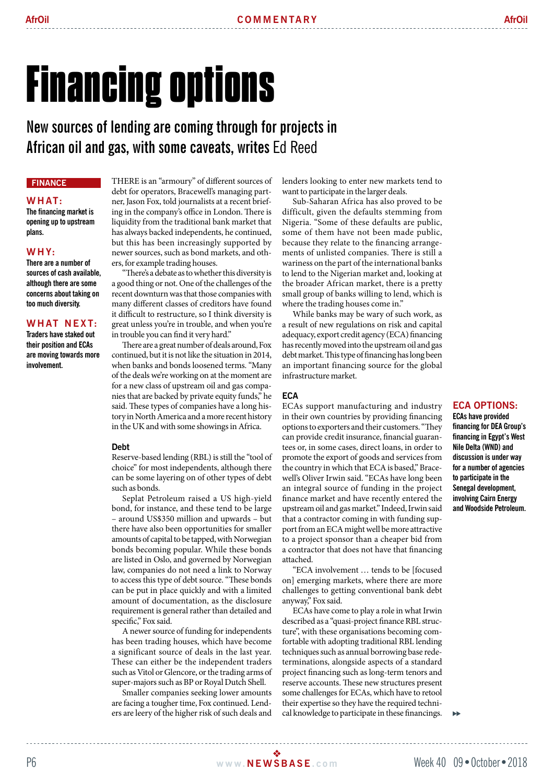# Financing options

**New sources of lending are coming through for projects in African oil and gas, with some caveats, writes** Ed Reed

# **Finance**

## **W h at:**

**The financing market is opening up to upstream plans.** 

## **W h y:**

**There are a number of sources of cash available, although there are some concerns about taking on too much diversity.** 

## **WHAT NEXT:**

**Traders have staked out their position and ECAs are moving towards more involvement.** 

THERE is an "armoury" of different sources of debt for operators, Bracewell's managing partner, Jason Fox, told journalists at a recent briefing in the company's office in London. There is liquidity from the traditional bank market that has always backed independents, he continued, but this has been increasingly supported by newer sources, such as bond markets, and others, for example trading houses.

"There's a debate as to whether this diversity is a good thing or not. One of the challenges of the recent downturn was that those companies with many different classes of creditors have found it difficult to restructure, so I think diversity is great unless you're in trouble, and when you're in trouble you can find it very hard."

There are a great number of deals around, Fox continued, but it is not like the situation in 2014, when banks and bonds loosened terms. "Many of the deals we're working on at the moment are for a new class of upstream oil and gas companies that are backed by private equity funds," he said. These types of companies have a long history in North America and a more recent history in the UK and with some showings in Africa.

### **Debt**

Reserve-based lending (RBL) is still the "tool of choice" for most independents, although there can be some layering on of other types of debt such as bonds.

Seplat Petroleum raised a US high-yield bond, for instance, and these tend to be large – around US\$350 million and upwards – but there have also been opportunities for smaller amounts of capital to be tapped, with Norwegian bonds becoming popular. While these bonds are listed in Oslo, and governed by Norwegian law, companies do not need a link to Norway to access this type of debt source. "These bonds can be put in place quickly and with a limited amount of documentation, as the disclosure requirement is general rather than detailed and specific," Fox said.

A newer source of funding for independents has been trading houses, which have become a significant source of deals in the last year. These can either be the independent traders such as Vitol or Glencore, or the trading arms of super-majors such as BP or Royal Dutch Shell.

Smaller companies seeking lower amounts are facing a tougher time, Fox continued. Lenders are leery of the higher risk of such deals and lenders looking to enter new markets tend to want to participate in the larger deals.

Sub-Saharan Africa has also proved to be difficult, given the defaults stemming from Nigeria. "Some of these defaults are public, some of them have not been made public, because they relate to the financing arrangements of unlisted companies. There is still a wariness on the part of the international banks to lend to the Nigerian market and, looking at the broader African market, there is a pretty small group of banks willing to lend, which is where the trading houses come in."

While banks may be wary of such work, as a result of new regulations on risk and capital adequacy, export credit agency (ECA) financing has recently moved into the upstream oil and gas debt market. This type of financing has long been an important financing source for the global infrastructure market.

## **ECA**

ECAs support manufacturing and industry in their own countries by providing financing options to exporters and their customers. "They can provide credit insurance, financial guarantees or, in some cases, direct loans, in order to promote the export of goods and services from the country in which that ECA is based," Bracewell's Oliver Irwin said. "ECAs have long been an integral source of funding in the project finance market and have recently entered the upstream oil and gas market." Indeed, Irwin said that a contractor coming in with funding support from an ECA might well be more attractive to a project sponsor than a cheaper bid from a contractor that does not have that financing attached.

"ECA involvement … tends to be [focused on] emerging markets, where there are more challenges to getting conventional bank debt anyway," Fox said.

ECAs have come to play a role in what Irwin described as a "quasi-project finance RBL structure", with these organisations becoming comfortable with adopting traditional RBL lending techniques such as annual borrowing base redeterminations, alongside aspects of a standard project financing such as long-term tenors and reserve accounts. These new structures present some challenges for ECAs, which have to retool their expertise so they have the required technical knowledge to participate in these financings.

#### **ECA options: ECAs have provided**

**financing for DEA Group's financing in Egypt's West Nile Delta (WND) and discussion is under way for a number of agencies to participate in the Senegal development, involving Cairn Energy and Woodside Petroleum.**